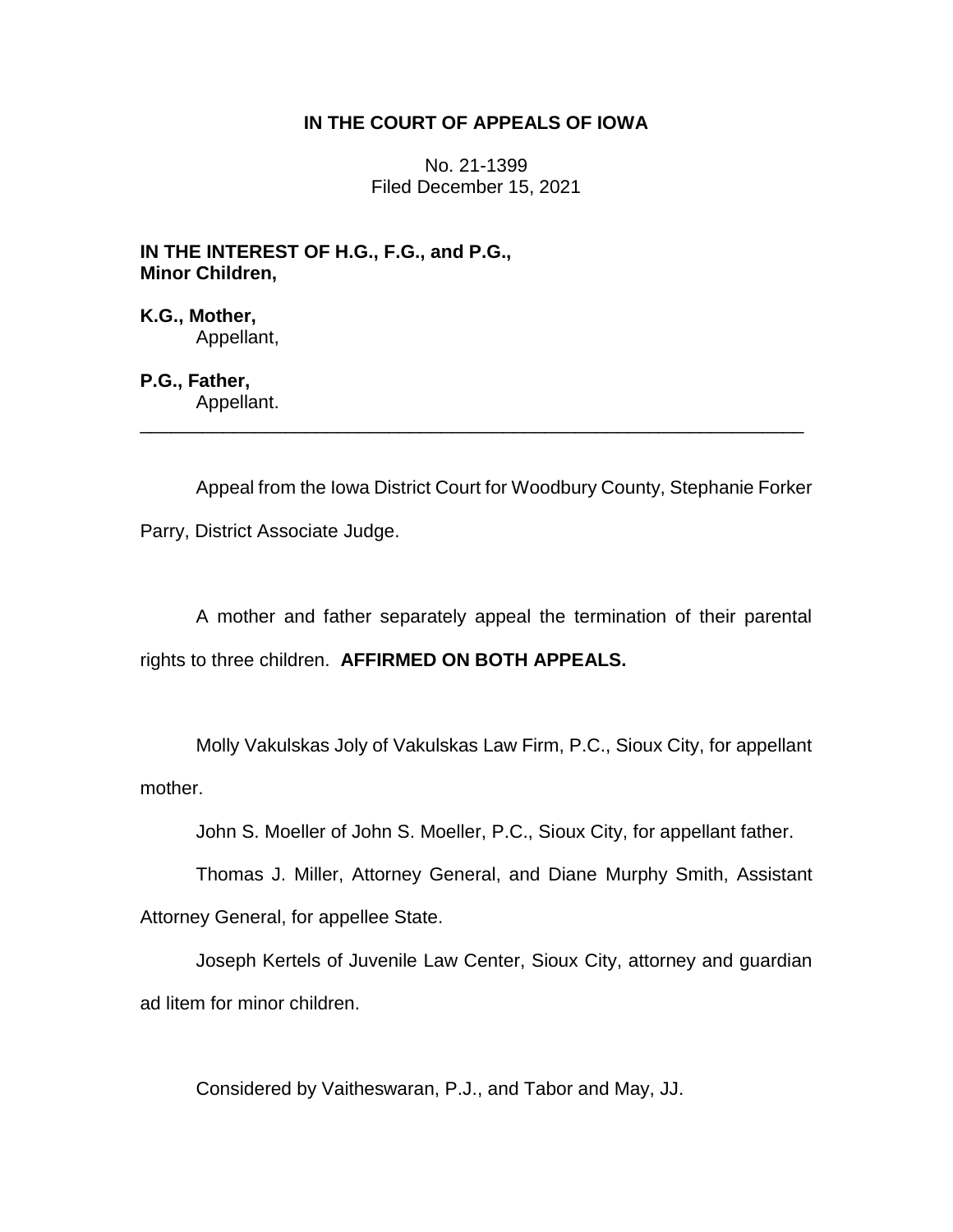## **IN THE COURT OF APPEALS OF IOWA**

No. 21-1399 Filed December 15, 2021

**IN THE INTEREST OF H.G., F.G., and P.G., Minor Children,**

**K.G., Mother,** Appellant,

**P.G., Father,** Appellant.

Appeal from the Iowa District Court for Woodbury County, Stephanie Forker Parry, District Associate Judge.

\_\_\_\_\_\_\_\_\_\_\_\_\_\_\_\_\_\_\_\_\_\_\_\_\_\_\_\_\_\_\_\_\_\_\_\_\_\_\_\_\_\_\_\_\_\_\_\_\_\_\_\_\_\_\_\_\_\_\_\_\_\_\_\_

A mother and father separately appeal the termination of their parental rights to three children. **AFFIRMED ON BOTH APPEALS.**

Molly Vakulskas Joly of Vakulskas Law Firm, P.C., Sioux City, for appellant mother.

John S. Moeller of John S. Moeller, P.C., Sioux City, for appellant father.

Thomas J. Miller, Attorney General, and Diane Murphy Smith, Assistant Attorney General, for appellee State.

Joseph Kertels of Juvenile Law Center, Sioux City, attorney and guardian ad litem for minor children.

Considered by Vaitheswaran, P.J., and Tabor and May, JJ.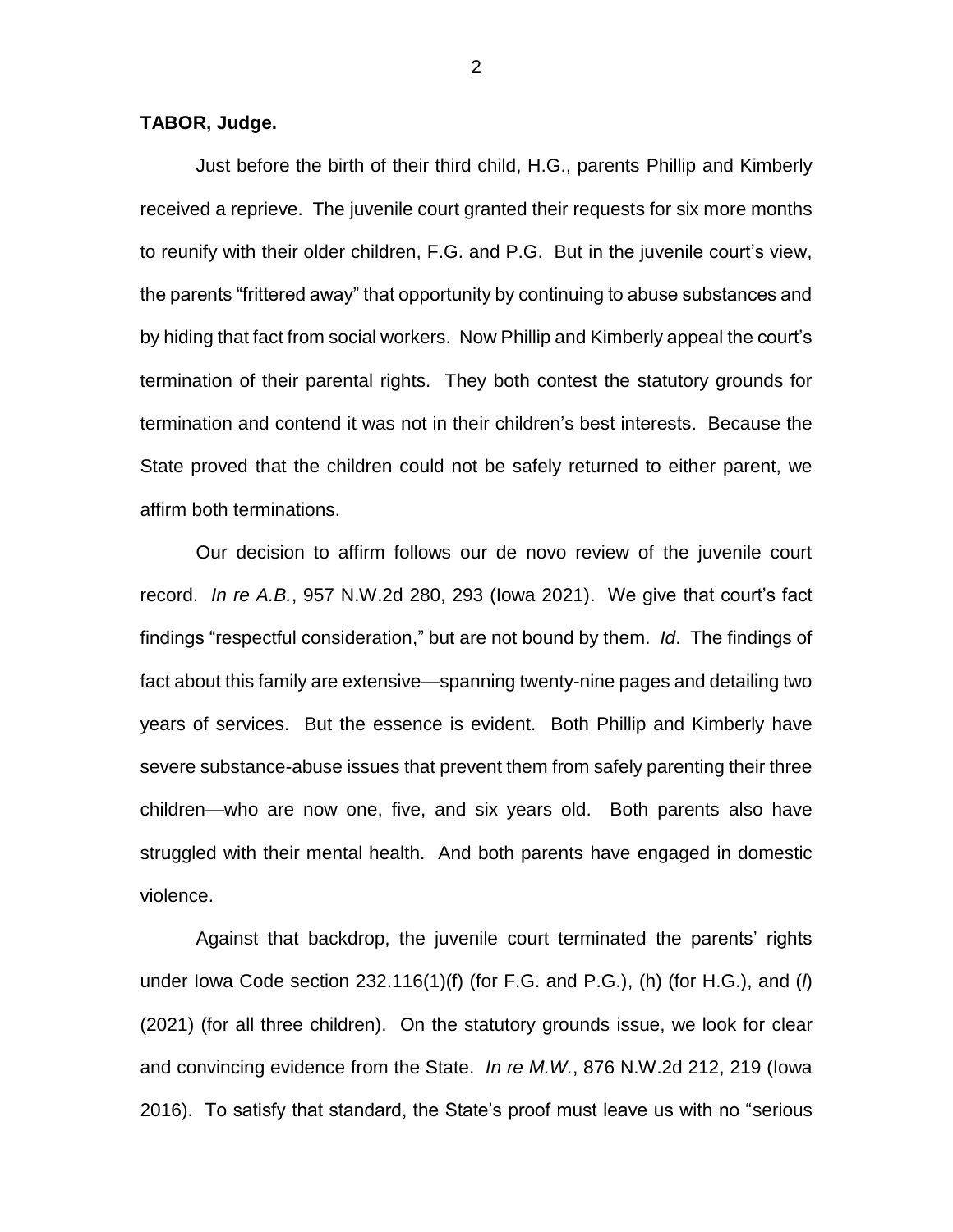**TABOR, Judge.**

Just before the birth of their third child, H.G., parents Phillip and Kimberly received a reprieve. The juvenile court granted their requests for six more months to reunify with their older children, F.G. and P.G. But in the juvenile court's view, the parents "frittered away" that opportunity by continuing to abuse substances and by hiding that fact from social workers. Now Phillip and Kimberly appeal the court's termination of their parental rights. They both contest the statutory grounds for termination and contend it was not in their children's best interests. Because the State proved that the children could not be safely returned to either parent, we affirm both terminations.

Our decision to affirm follows our de novo review of the juvenile court record. *In re A.B.*, 957 N.W.2d 280, 293 (Iowa 2021). We give that court's fact findings "respectful consideration," but are not bound by them. *Id*. The findings of fact about this family are extensive—spanning twenty-nine pages and detailing two years of services. But the essence is evident. Both Phillip and Kimberly have severe substance-abuse issues that prevent them from safely parenting their three children—who are now one, five, and six years old. Both parents also have struggled with their mental health. And both parents have engaged in domestic violence.

Against that backdrop, the juvenile court terminated the parents' rights under Iowa Code section 232.116(1)(f) (for F.G. and P.G.), (h) (for H.G.), and (*l*) (2021) (for all three children). On the statutory grounds issue, we look for clear and convincing evidence from the State. *In re M.W.*, 876 N.W.2d 212, 219 (Iowa 2016). To satisfy that standard, the State's proof must leave us with no "serious

2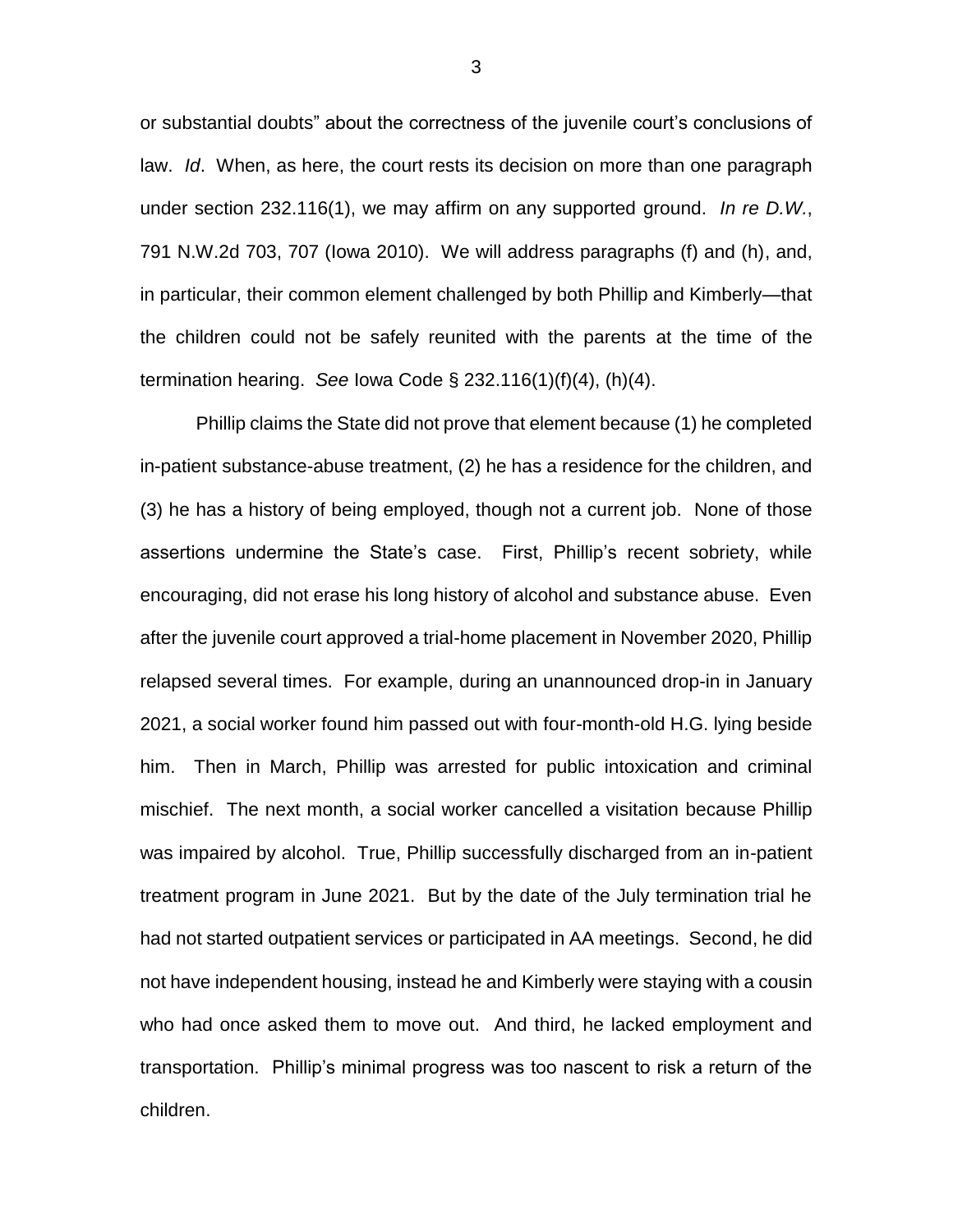or substantial doubts" about the correctness of the juvenile court's conclusions of law. *Id*. When, as here, the court rests its decision on more than one paragraph under section 232.116(1), we may affirm on any supported ground. *In re D.W.*, 791 N.W.2d 703, 707 (Iowa 2010). We will address paragraphs (f) and (h), and, in particular, their common element challenged by both Phillip and Kimberly—that the children could not be safely reunited with the parents at the time of the termination hearing. *See* Iowa Code § 232.116(1)(f)(4), (h)(4).

Phillip claims the State did not prove that element because (1) he completed in-patient substance-abuse treatment, (2) he has a residence for the children, and (3) he has a history of being employed, though not a current job. None of those assertions undermine the State's case. First, Phillip's recent sobriety, while encouraging, did not erase his long history of alcohol and substance abuse. Even after the juvenile court approved a trial-home placement in November 2020, Phillip relapsed several times. For example, during an unannounced drop-in in January 2021, a social worker found him passed out with four-month-old H.G. lying beside him. Then in March, Phillip was arrested for public intoxication and criminal mischief. The next month, a social worker cancelled a visitation because Phillip was impaired by alcohol. True, Phillip successfully discharged from an in-patient treatment program in June 2021. But by the date of the July termination trial he had not started outpatient services or participated in AA meetings. Second, he did not have independent housing, instead he and Kimberly were staying with a cousin who had once asked them to move out. And third, he lacked employment and transportation. Phillip's minimal progress was too nascent to risk a return of the children.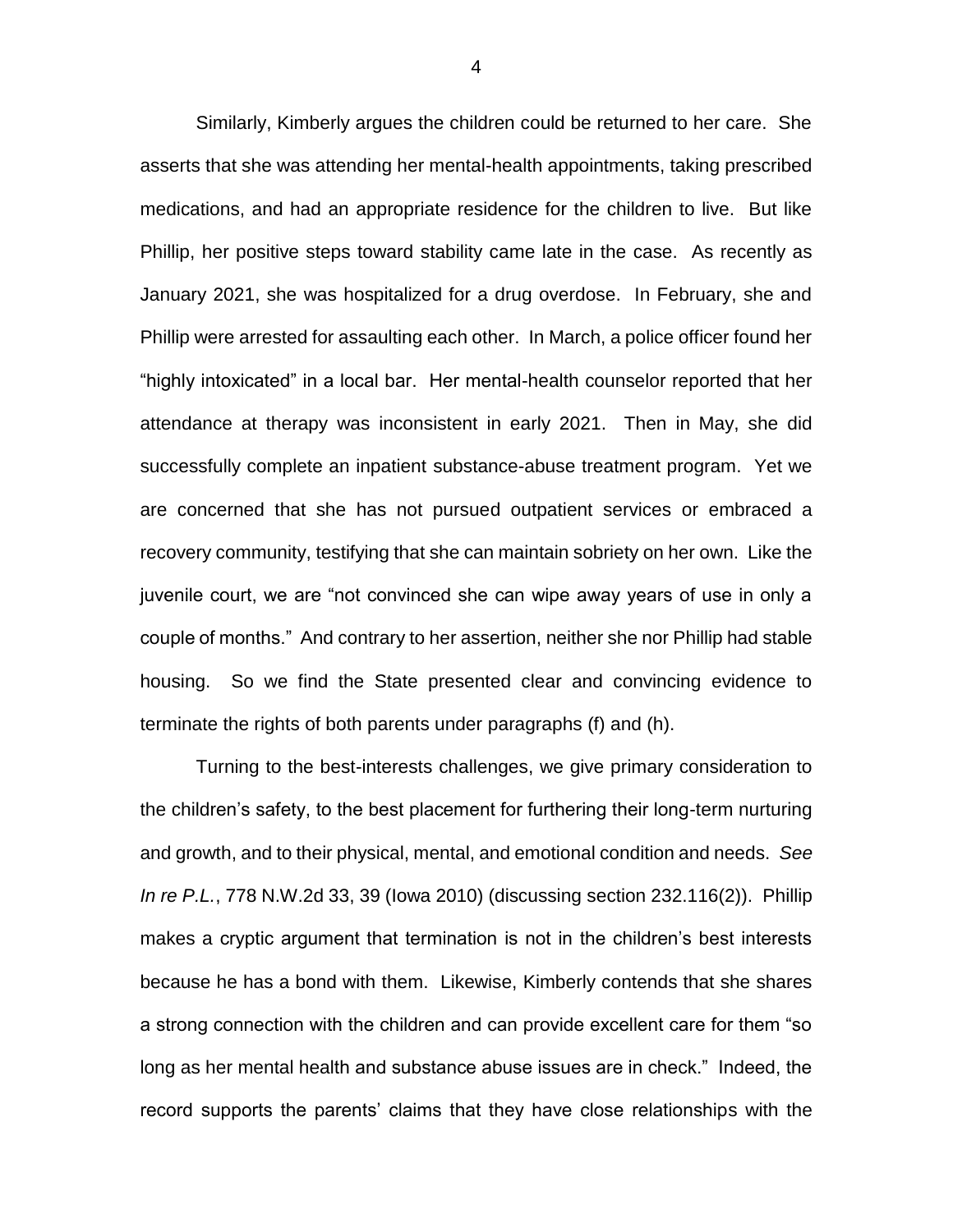Similarly, Kimberly argues the children could be returned to her care. She asserts that she was attending her mental-health appointments, taking prescribed medications, and had an appropriate residence for the children to live. But like Phillip, her positive steps toward stability came late in the case. As recently as January 2021, she was hospitalized for a drug overdose. In February, she and Phillip were arrested for assaulting each other. In March, a police officer found her "highly intoxicated" in a local bar. Her mental-health counselor reported that her attendance at therapy was inconsistent in early 2021. Then in May, she did successfully complete an inpatient substance-abuse treatment program. Yet we are concerned that she has not pursued outpatient services or embraced a recovery community, testifying that she can maintain sobriety on her own. Like the juvenile court, we are "not convinced she can wipe away years of use in only a couple of months." And contrary to her assertion, neither she nor Phillip had stable housing. So we find the State presented clear and convincing evidence to terminate the rights of both parents under paragraphs (f) and (h).

Turning to the best-interests challenges, we give primary consideration to the children's safety, to the best placement for furthering their long-term nurturing and growth, and to their physical, mental, and emotional condition and needs. *See In re P.L.*, 778 N.W.2d 33, 39 (Iowa 2010) (discussing section 232.116(2)). Phillip makes a cryptic argument that termination is not in the children's best interests because he has a bond with them. Likewise, Kimberly contends that she shares a strong connection with the children and can provide excellent care for them "so long as her mental health and substance abuse issues are in check." Indeed, the record supports the parents' claims that they have close relationships with the